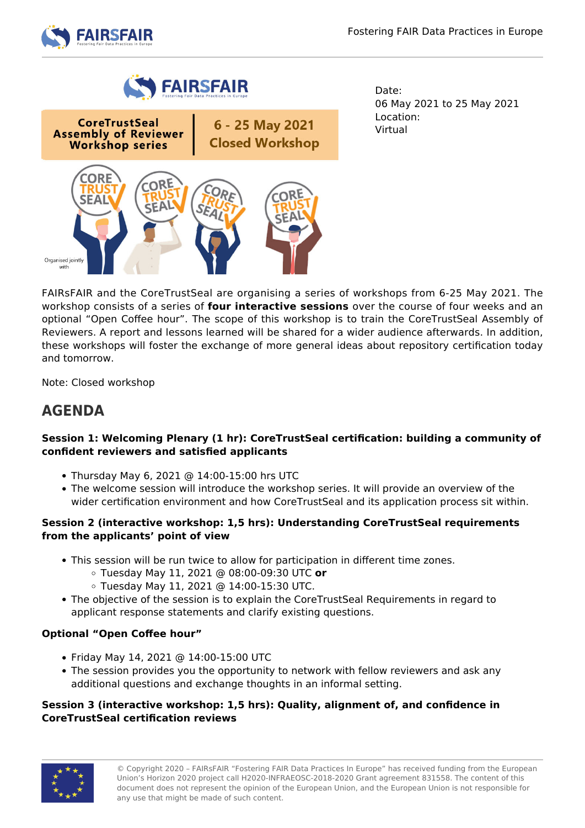



**CoreTrustSeal** 6 - 25 May 2021 **Assembly of Reviewer Closed Workshop Workshop series** 



Date: 06 May 2021 to 25 May 2021 Location: Virtual

FAIRsFAIR and the CoreTrustSeal are organising a series of workshops from 6-25 May 2021. The workshop consists of a series of **four interactive sessions** over the course of four weeks and an optional "Open Coffee hour". The scope of this workshop is to train the CoreTrustSeal Assembly of Reviewers. A report and lessons learned will be shared for a wider audience afterwards. In addition, these workshops will foster the exchange of more general ideas about repository certification today and tomorrow.

Note: Closed workshop

# **AGENDA**

# **Session 1: Welcoming Plenary (1 hr): CoreTrustSeal certification: building a community of confident reviewers and satisfied applicants**

- Thursday May 6, 2021 @ 14:00-15:00 hrs UTC
- The welcome session will introduce the workshop series. It will provide an overview of the wider certification environment and how CoreTrustSeal and its application process sit within.

# **Session 2 (interactive workshop: 1,5 hrs): Understanding CoreTrustSeal requirements from the applicants' point of view**

- This session will be run twice to allow for participation in different time zones.
	- Tuesday May 11, 2021 @ 08:00-09:30 UTC **or**
	- Tuesday May 11, 2021 @ 14:00-15:30 UTC.
- The objective of the session is to explain the CoreTrustSeal Requirements in regard to applicant response statements and clarify existing questions.

# **Optional "Open Coffee hour"**

- Friday May 14, 2021 @ 14:00-15:00 UTC
- The session provides you the opportunity to network with fellow reviewers and ask any additional questions and exchange thoughts in an informal setting.

# **Session 3 (interactive workshop: 1,5 hrs): Quality, alignment of, and confidence in CoreTrustSeal certification reviews**